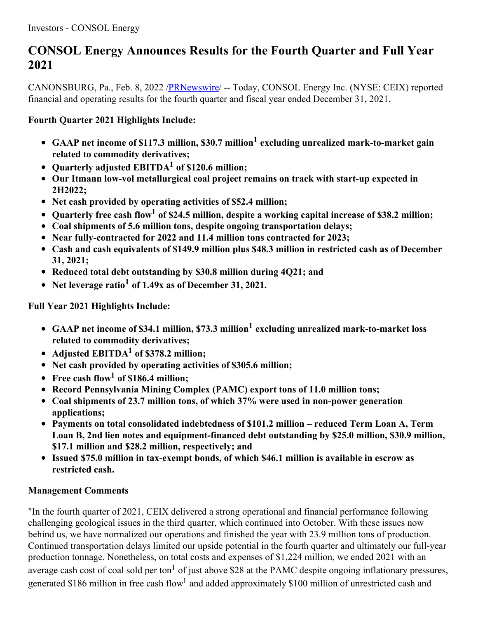# **CONSOL Energy Announces Results for the Fourth Quarter and Full Year 2021**

CANONSBURG, Pa., Feb. 8, 2022 [/PRNewswire](http://www.prnewswire.com/)/ -- Today, CONSOL Energy Inc. (NYSE: CEIX) reported financial and operating results for the fourth quarter and fiscal year ended December 31, 2021.

# **Fourth Quarter 2021 Highlights Include:**

- **GAAP net income of \$117.3 million, \$30.7 million <sup>1</sup> excluding unrealized mark-to-market gain related to commodity derivatives;**
- **Quarterly adjusted EBITDA <sup>1</sup> of \$120.6 million;**
- **Our Itmann low-vol metallurgical coal project remains on track with start-up expected in 2H2022;**
- **Net cash provided by operating activities of \$52.4 million;**
- **Quarterly free cash flow <sup>1</sup> of \$24.5 million, despite a working capital increase of \$38.2 million;**
- **Coal shipments of 5.6 million tons, despite ongoing transportation delays;**
- **Near fully-contracted for 2022 and 11.4 million tons contracted for 2023;**
- **Cash and cash equivalents of \$149.9 million plus \$48.3 million in restricted cash as of December 31, 2021;**
- **Reduced total debt outstanding by \$30.8 million during 4Q21; and**
- **Net leverage ratio <sup>1</sup> of 1.49x as of December 31, 2021.**

**Full Year 2021 Highlights Include:**

- **GAAP net income of \$34.1 million, \$73.3 million <sup>1</sup> excluding unrealized mark-to-market loss related to commodity derivatives;**
- **Adjusted EBITDA <sup>1</sup> of \$378.2 million;**
- **Net cash provided by operating activities of \$305.6 million;**
- **Free cash flow <sup>1</sup> of \$186.4 million;**
- **Record Pennsylvania Mining Complex (PAMC) export tons of 11.0 million tons;**
- **Coal shipments of 23.7 million tons, of which 37% were used in non-power generation applications;**
- **Payments on total consolidated indebtedness of \$101.2 million – reduced Term Loan A, Term Loan B, 2nd lien notes and equipment-financed debt outstanding by \$25.0 million, \$30.9 million, \$17.1 million and \$28.2 million, respectively; and**
- **Issued \$75.0 million in tax-exempt bonds, of which \$46.1 million is available in escrow as restricted cash.**

# **Management Comments**

"In the fourth quarter of 2021, CEIX delivered a strong operational and financial performance following challenging geological issues in the third quarter, which continued into October. With these issues now behind us, we have normalized our operations and finished the year with 23.9 million tons of production. Continued transportation delays limited our upside potential in the fourth quarter and ultimately our full-year production tonnage. Nonetheless, on total costs and expenses of \$1,224 million, we ended 2021 with an average cash cost of coal sold per ton<sup>1</sup> of just above \$28 at the PAMC despite ongoing inflationary pressures, generated \$186 million in free cash flow<sup>1</sup> and added approximately \$100 million of unrestricted cash and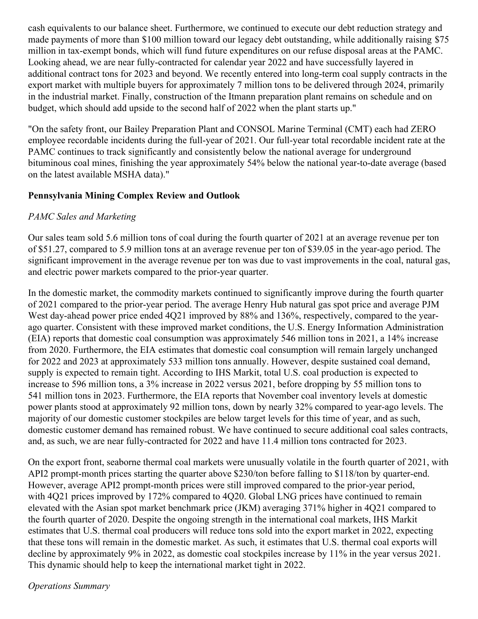cash equivalents to our balance sheet. Furthermore, we continued to execute our debt reduction strategy and made payments of more than \$100 million toward our legacy debt outstanding, while additionally raising \$75 million in tax-exempt bonds, which will fund future expenditures on our refuse disposal areas at the PAMC. Looking ahead, we are near fully-contracted for calendar year 2022 and have successfully layered in additional contract tons for 2023 and beyond. We recently entered into long-term coal supply contracts in the export market with multiple buyers for approximately 7 million tons to be delivered through 2024, primarily in the industrial market. Finally, construction of the Itmann preparation plant remains on schedule and on budget, which should add upside to the second half of 2022 when the plant starts up."

"On the safety front, our Bailey Preparation Plant and CONSOL Marine Terminal (CMT) each had ZERO employee recordable incidents during the full-year of 2021. Our full-year total recordable incident rate at the PAMC continues to track significantly and consistently below the national average for underground bituminous coal mines, finishing the year approximately 54% below the national year-to-date average (based on the latest available MSHA data)."

### **Pennsylvania Mining Complex Review and Outlook**

### *PAMC Sales and Marketing*

Our sales team sold 5.6 million tons of coal during the fourth quarter of 2021 at an average revenue per ton of \$51.27, compared to 5.9 million tons at an average revenue per ton of \$39.05 in the year-ago period. The significant improvement in the average revenue per ton was due to vast improvements in the coal, natural gas, and electric power markets compared to the prior-year quarter.

In the domestic market, the commodity markets continued to significantly improve during the fourth quarter of 2021 compared to the prior-year period. The average Henry Hub natural gas spot price and average PJM West day-ahead power price ended 4Q21 improved by 88% and 136%, respectively, compared to the yearago quarter. Consistent with these improved market conditions, the U.S. Energy Information Administration (EIA) reports that domestic coal consumption was approximately 546 million tons in 2021, a 14% increase from 2020. Furthermore, the EIA estimates that domestic coal consumption will remain largely unchanged for 2022 and 2023 at approximately 533 million tons annually. However, despite sustained coal demand, supply is expected to remain tight. According to IHS Markit, total U.S. coal production is expected to increase to 596 million tons, a 3% increase in 2022 versus 2021, before dropping by 55 million tons to 541 million tons in 2023. Furthermore, the EIA reports that November coal inventory levels at domestic power plants stood at approximately 92 million tons, down by nearly 32% compared to year-ago levels. The majority of our domestic customer stockpiles are below target levels for this time of year, and as such, domestic customer demand has remained robust. We have continued to secure additional coal sales contracts, and, as such, we are near fully-contracted for 2022 and have 11.4 million tons contracted for 2023.

On the export front, seaborne thermal coal markets were unusually volatile in the fourth quarter of 2021, with API2 prompt-month prices starting the quarter above \$230/ton before falling to \$118/ton by quarter-end. However, average API2 prompt-month prices were still improved compared to the prior-year period, with 4O21 prices improved by 172% compared to 4O20. Global LNG prices have continued to remain elevated with the Asian spot market benchmark price (JKM) averaging 371% higher in 4Q21 compared to the fourth quarter of 2020. Despite the ongoing strength in the international coal markets, IHS Markit estimates that U.S. thermal coal producers will reduce tons sold into the export market in 2022, expecting that these tons will remain in the domestic market. As such, it estimates that U.S. thermal coal exports will decline by approximately 9% in 2022, as domestic coal stockpiles increase by 11% in the year versus 2021. This dynamic should help to keep the international market tight in 2022.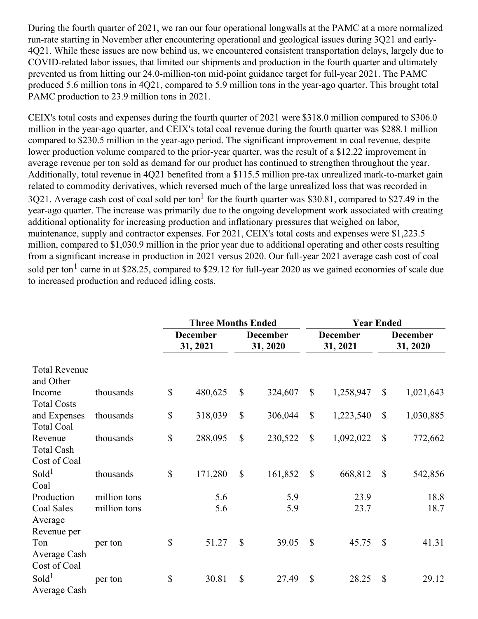During the fourth quarter of 2021, we ran our four operational longwalls at the PAMC at a more normalized run-rate starting in November after encountering operational and geological issues during 3Q21 and early-4Q21. While these issues are now behind us, we encountered consistent transportation delays, largely due to COVID-related labor issues, that limited our shipments and production in the fourth quarter and ultimately prevented us from hitting our 24.0-million-ton mid-point guidance target for full-year 2021. The PAMC produced 5.6 million tons in 4Q21, compared to 5.9 million tons in the year-ago quarter. This brought total PAMC production to 23.9 million tons in 2021.

CEIX's total costs and expenses during the fourth quarter of 2021 were \$318.0 million compared to \$306.0 million in the year-ago quarter, and CEIX's total coal revenue during the fourth quarter was \$288.1 million compared to \$230.5 million in the year-ago period. The significant improvement in coal revenue, despite lower production volume compared to the prior-year quarter, was the result of a \$12.22 improvement in average revenue per ton sold as demand for our product has continued to strengthen throughout the year. Additionally, total revenue in 4Q21 benefited from a \$115.5 million pre-tax unrealized mark-to-market gain related to commodity derivatives, which reversed much of the large unrealized loss that was recorded in 3Q21. Average cash cost of coal sold per ton<sup>1</sup> for the fourth quarter was \$30.81, compared to \$27.49 in the year-ago quarter. The increase was primarily due to the ongoing development work associated with creating additional optionality for increasing production and inflationary pressures that weighed on labor, maintenance, supply and contractor expenses. For 2021, CEIX's total costs and expenses were \$1,223.5 million, compared to \$1,030.9 million in the prior year due to additional operating and other costs resulting from a significant increase in production in 2021 versus 2020. Our full-year 2021 average cash cost of coal sold per ton<sup>1</sup> came in at \$28.25, compared to \$29.12 for full-year 2020 as we gained economies of scale due to increased production and reduced idling costs.

|                      |              |                             | <b>Three Months Ended</b> |              |                             | <b>Year Ended</b> |                             |                             |           |
|----------------------|--------------|-----------------------------|---------------------------|--------------|-----------------------------|-------------------|-----------------------------|-----------------------------|-----------|
|                      |              | <b>December</b><br>31, 2021 |                           |              | <b>December</b><br>31, 2020 |                   | <b>December</b><br>31, 2021 | <b>December</b><br>31, 2020 |           |
| <b>Total Revenue</b> |              |                             |                           |              |                             |                   |                             |                             |           |
| and Other            |              |                             |                           |              |                             |                   |                             |                             |           |
| Income               | thousands    | $\mathbb{S}$                | 480,625                   | $\mathbb{S}$ | 324,607                     | $\mathbb{S}$      | 1,258,947                   | $\mathbb{S}$                | 1,021,643 |
| <b>Total Costs</b>   |              |                             |                           |              |                             |                   |                             |                             |           |
| and Expenses         | thousands    | \$                          | 318,039                   | $\mathbb{S}$ | 306,044                     | $\mathcal{S}$     | 1,223,540                   | $\mathbb{S}$                | 1,030,885 |
| <b>Total Coal</b>    |              |                             |                           |              |                             |                   |                             |                             |           |
| Revenue              | thousands    | \$                          | 288,095                   | $\mathbb{S}$ | 230,522                     | $\mathcal{S}$     | 1,092,022                   | $\mathbb{S}$                | 772,662   |
| <b>Total Cash</b>    |              |                             |                           |              |                             |                   |                             |                             |           |
| Cost of Coal         |              |                             |                           |              |                             |                   |                             |                             |           |
| Sold <sup>1</sup>    | thousands    | $\mathbb{S}$                | 171,280                   | $\mathbb{S}$ | 161,852                     | $\mathcal{S}$     | 668,812                     | $\mathbb{S}$                | 542,856   |
| Coal                 |              |                             |                           |              |                             |                   |                             |                             |           |
| Production           | million tons |                             | 5.6                       |              | 5.9                         |                   | 23.9                        |                             | 18.8      |
| Coal Sales           | million tons |                             | 5.6                       |              | 5.9                         |                   | 23.7                        |                             | 18.7      |
| Average              |              |                             |                           |              |                             |                   |                             |                             |           |
| Revenue per          |              |                             |                           |              |                             |                   |                             |                             |           |
| Ton                  | per ton      | \$                          | 51.27                     | $\mathbb{S}$ | 39.05                       | $\mathcal{S}$     | 45.75                       | $\mathbb{S}$                | 41.31     |
| Average Cash         |              |                             |                           |              |                             |                   |                             |                             |           |
| Cost of Coal         |              |                             |                           |              |                             |                   |                             |                             |           |
| Sold <sup>1</sup>    | per ton      | \$                          | 30.81                     | $\mathbb{S}$ | 27.49                       | \$                | 28.25                       | \$                          | 29.12     |
| Average Cash         |              |                             |                           |              |                             |                   |                             |                             |           |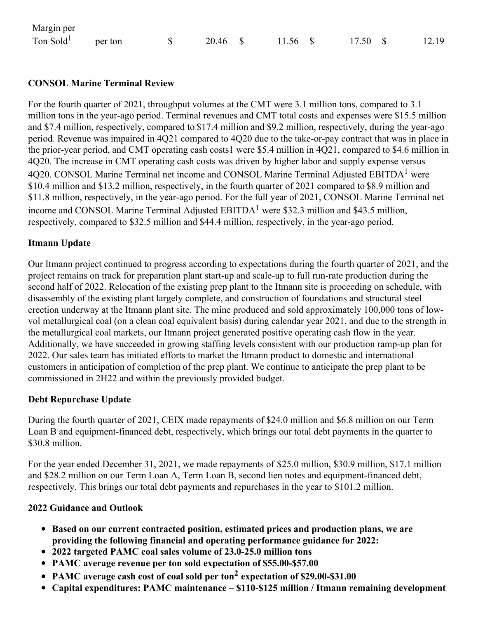| Margin per                    |  |          |          |                 |       |
|-------------------------------|--|----------|----------|-----------------|-------|
| Ton Sold <sup>1</sup> per ton |  | 20.46 \$ | 11.56 \$ | $17.50\quad$ \$ | 12.19 |

### **CONSOL Marine Terminal Review**

For the fourth quarter of 2021, throughput volumes at the CMT were 3.1 million tons, compared to 3.1 million tons in the year-ago period. Terminal revenues and CMT total costs and expenses were \$15.5 million and \$7.4 million, respectively, compared to \$17.4 million and \$9.2 million, respectively, during the year-ago period. Revenue was impaired in 4Q21 compared to 4Q20 due to the take-or-pay contract that was in place in the prior-year period, and CMT operating cash costs1 were \$5.4 million in 4Q21, compared to \$4.6 million in 4Q20. The increase in CMT operating cash costs was driven by higher labor and supply expense versus  $4Q20$ . CONSOL Marine Terminal net income and CONSOL Marine Terminal Adjusted EBITDA<sup>1</sup> were \$10.4 million and \$13.2 million, respectively, in the fourth quarter of 2021 compared to \$8.9 million and \$11.8 million, respectively, in the year-ago period. For the full year of 2021, CONSOL Marine Terminal net income and CONSOL Marine Terminal Adjusted  $EBITDA<sup>1</sup>$  were \$32.3 million and \$43.5 million, respectively, compared to \$32.5 million and \$44.4 million, respectively, in the year-ago period.

#### **Itmann Update**

Our Itmann project continued to progress according to expectations during the fourth quarter of 2021, and the project remains on track for preparation plant start-up and scale-up to full run-rate production during the second half of 2022. Relocation of the existing prep plant to the Itmann site is proceeding on schedule, with disassembly of the existing plant largely complete, and construction of foundations and structural steel erection underway at the Itmann plant site. The mine produced and sold approximately 100,000 tons of lowvol metallurgical coal (on a clean coal equivalent basis) during calendar year 2021, and due to the strength in the metallurgical coal markets, our Itmann project generated positive operating cash flow in the year. Additionally, we have succeeded in growing staffing levels consistent with our production ramp-up plan for 2022. Our sales team has initiated efforts to market the Itmann product to domestic and international customers in anticipation of completion of the prep plant. We continue to anticipate the prep plant to be commissioned in 2H22 and within the previously provided budget.

#### **Debt Repurchase Update**

During the fourth quarter of 2021, CEIX made repayments of \$24.0 million and \$6.8 million on our Term Loan B and equipment-financed debt, respectively, which brings our total debt payments in the quarter to \$30.8 million.

For the year ended December 31, 2021, we made repayments of \$25.0 million, \$30.9 million, \$17.1 million and \$28.2 million on our Term Loan A, Term Loan B, second lien notes and equipment-financed debt, respectively. This brings our total debt payments and repurchases in the year to \$101.2 million.

#### **2022 Guidance and Outlook**

- **Based on our current contracted position, estimated prices and production plans, we are providing the following financial and operating performance guidance for 2022:**
- **2022 targeted PAMC coal sales volume of 23.0-25.0 million tons**
- **PAMC average revenue per ton sold expectation of \$55.00-\$57.00**
- **PAMC average cash cost of coal sold per ton <sup>2</sup> expectation of \$29.00-\$31.00**
- **Capital expenditures: PAMC maintenance – \$110-\$125 million / Itmann remaining development**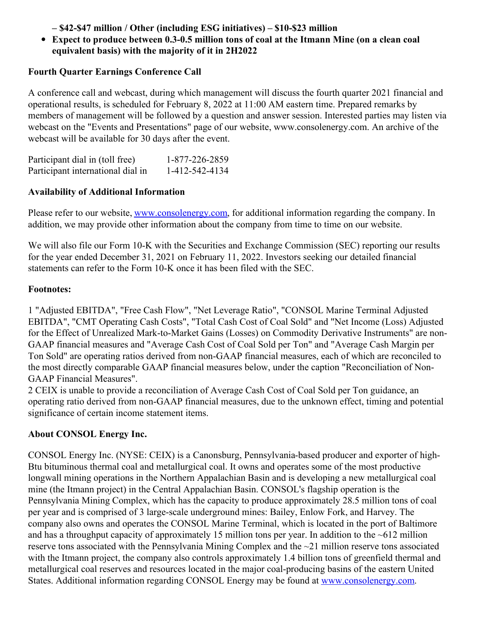**– \$42-\$47 million / Other (including ESG initiatives) – \$10-\$23 million**

**Expect to produce between 0.3-0.5 million tons of coal at the Itmann Mine (on a clean coal equivalent basis) with the majority of it in 2H2022**

# **Fourth Quarter Earnings Conference Call**

A conference call and webcast, during which management will discuss the fourth quarter 2021 financial and operational results, is scheduled for February 8, 2022 at 11:00 AM eastern time. Prepared remarks by members of management will be followed by a question and answer session. Interested parties may listen via webcast on the "Events and Presentations" page of our website, www.consolenergy.com. An archive of the webcast will be available for 30 days after the event.

| Participant dial in (toll free)   | 1-877-226-2859 |
|-----------------------------------|----------------|
| Participant international dial in | 1-412-542-4134 |

# **Availability of Additional Information**

Please refer to our website, [www.consolenergy.com](http://www.consolenergy.com), for additional information regarding the company. In addition, we may provide other information about the company from time to time on our website.

We will also file our Form 10-K with the Securities and Exchange Commission (SEC) reporting our results for the year ended December 31, 2021 on February 11, 2022. Investors seeking our detailed financial statements can refer to the Form 10-K once it has been filed with the SEC.

### **Footnotes:**

1 "Adjusted EBITDA", "Free Cash Flow", "Net Leverage Ratio", "CONSOL Marine Terminal Adjusted EBITDA", "CMT Operating Cash Costs", "Total Cash Cost of Coal Sold" and "Net Income (Loss) Adjusted for the Effect of Unrealized Mark-to-Market Gains (Losses) on Commodity Derivative Instruments" are non-GAAP financial measures and "Average Cash Cost of Coal Sold per Ton" and "Average Cash Margin per Ton Sold" are operating ratios derived from non-GAAP financial measures, each of which are reconciled to the most directly comparable GAAP financial measures below, under the caption "Reconciliation of Non-GAAP Financial Measures".

2 CEIX is unable to provide a reconciliation of Average Cash Cost of Coal Sold per Ton guidance, an operating ratio derived from non-GAAP financial measures, due to the unknown effect, timing and potential significance of certain income statement items.

# **About CONSOL Energy Inc.**

CONSOL Energy Inc. (NYSE: CEIX) is a Canonsburg, Pennsylvania-based producer and exporter of high-Btu bituminous thermal coal and metallurgical coal. It owns and operates some of the most productive longwall mining operations in the Northern Appalachian Basin and is developing a new metallurgical coal mine (the Itmann project) in the Central Appalachian Basin. CONSOL's flagship operation is the Pennsylvania Mining Complex, which has the capacity to produce approximately 28.5 million tons of coal per year and is comprised of 3 large-scale underground mines: Bailey, Enlow Fork, and Harvey. The company also owns and operates the CONSOL Marine Terminal, which is located in the port of Baltimore and has a throughput capacity of approximately 15 million tons per year. In addition to the  $\sim 612$  million reserve tons associated with the Pennsylvania Mining Complex and the ~21 million reserve tons associated with the Itmann project, the company also controls approximately 1.4 billion tons of greenfield thermal and metallurgical coal reserves and resources located in the major coal-producing basins of the eastern United States. Additional information regarding CONSOL Energy may be found at [www.consolenergy.com](https://c212.net/c/link/?t=0&l=en&o=3436427-1&h=310266933&u=http%3A%2F%2Fwww.consolenergy.com%2F&a=www.consolenergy.com).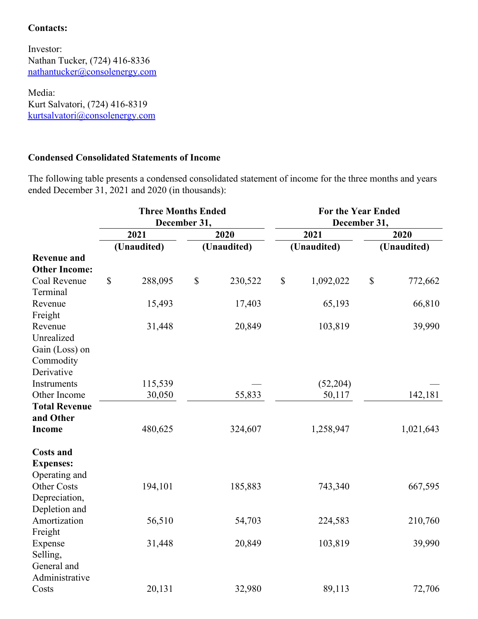### **Contacts:**

Investor: Nathan Tucker, (724) 416-8336 [nathantucker@consolenergy.com](mailto:nathantucker@consolenergy.com)

Media: Kurt Salvatori, (724) 416-8319 [kurtsalvatori@consolenergy.com](mailto:kurtsalvatori@consolenergy.com)

#### **Condensed Consolidated Statements of Income**

The following table presents a condensed consolidated statement of income for the three months and years ended December 31, 2021 and 2020 (in thousands):

|                                   |                           | <b>Three Months Ended</b> | December 31,              |             | <b>For the Year Ended</b><br>December 31, |             |              |             |
|-----------------------------------|---------------------------|---------------------------|---------------------------|-------------|-------------------------------------------|-------------|--------------|-------------|
|                                   |                           | 2021                      |                           | 2020        |                                           | 2021        |              | 2020        |
|                                   |                           | (Unaudited)               |                           | (Unaudited) |                                           | (Unaudited) |              | (Unaudited) |
| <b>Revenue and</b>                |                           |                           |                           |             |                                           |             |              |             |
| <b>Other Income:</b>              |                           |                           |                           |             |                                           |             |              |             |
| Coal Revenue                      | $\boldsymbol{\mathsf{S}}$ | 288,095                   | $\boldsymbol{\mathsf{S}}$ | 230,522     | \$                                        | 1,092,022   | $\mathbb{S}$ | 772,662     |
| Terminal                          |                           |                           |                           |             |                                           |             |              |             |
| Revenue                           |                           | 15,493                    |                           | 17,403      |                                           | 65,193      |              | 66,810      |
| Freight                           |                           |                           |                           |             |                                           |             |              |             |
| Revenue                           |                           | 31,448                    |                           | 20,849      |                                           | 103,819     |              | 39,990      |
| Unrealized                        |                           |                           |                           |             |                                           |             |              |             |
| Gain (Loss) on                    |                           |                           |                           |             |                                           |             |              |             |
| Commodity                         |                           |                           |                           |             |                                           |             |              |             |
| Derivative                        |                           |                           |                           |             |                                           |             |              |             |
| Instruments                       |                           | 115,539                   |                           |             |                                           | (52, 204)   |              |             |
| Other Income                      |                           | 30,050                    |                           | 55,833      |                                           | 50,117      |              | 142,181     |
| <b>Total Revenue</b><br>and Other |                           |                           |                           |             |                                           |             |              |             |
| <b>Income</b>                     |                           | 480,625                   |                           | 324,607     |                                           | 1,258,947   |              | 1,021,643   |
|                                   |                           |                           |                           |             |                                           |             |              |             |
| <b>Costs and</b>                  |                           |                           |                           |             |                                           |             |              |             |
| <b>Expenses:</b>                  |                           |                           |                           |             |                                           |             |              |             |
| Operating and                     |                           |                           |                           |             |                                           |             |              |             |
| <b>Other Costs</b>                |                           | 194,101                   |                           | 185,883     |                                           | 743,340     |              | 667,595     |
| Depreciation,                     |                           |                           |                           |             |                                           |             |              |             |
| Depletion and                     |                           |                           |                           |             |                                           |             |              |             |
| Amortization                      |                           | 56,510                    |                           | 54,703      |                                           | 224,583     |              | 210,760     |
| Freight                           |                           |                           |                           |             |                                           |             |              |             |
| Expense                           |                           | 31,448                    |                           | 20,849      |                                           | 103,819     |              | 39,990      |
| Selling,                          |                           |                           |                           |             |                                           |             |              |             |
| General and                       |                           |                           |                           |             |                                           |             |              |             |
| Administrative<br>Costs           |                           | 20,131                    |                           | 32,980      |                                           | 89,113      |              | 72,706      |
|                                   |                           |                           |                           |             |                                           |             |              |             |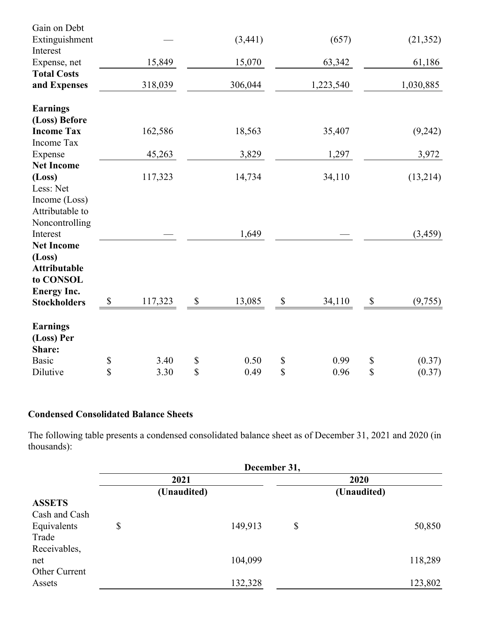| Gain on Debt        |               |         |                           |         |               |           |              |           |
|---------------------|---------------|---------|---------------------------|---------|---------------|-----------|--------------|-----------|
| Extinguishment      |               |         |                           | (3,441) |               | (657)     |              | (21, 352) |
| Interest            |               |         |                           |         |               |           |              |           |
| Expense, net        |               | 15,849  |                           | 15,070  |               | 63,342    |              | 61,186    |
| <b>Total Costs</b>  |               |         |                           |         |               |           |              |           |
| and Expenses        |               | 318,039 |                           | 306,044 |               | 1,223,540 |              | 1,030,885 |
| <b>Earnings</b>     |               |         |                           |         |               |           |              |           |
| (Loss) Before       |               |         |                           |         |               |           |              |           |
| <b>Income Tax</b>   |               | 162,586 |                           | 18,563  |               | 35,407    |              | (9,242)   |
| Income Tax          |               |         |                           |         |               |           |              |           |
| Expense             |               | 45,263  |                           | 3,829   |               | 1,297     |              | 3,972     |
| <b>Net Income</b>   |               |         |                           |         |               |           |              |           |
| (Loss)              |               | 117,323 |                           | 14,734  |               | 34,110    |              | (13,214)  |
| Less: Net           |               |         |                           |         |               |           |              |           |
| Income (Loss)       |               |         |                           |         |               |           |              |           |
| Attributable to     |               |         |                           |         |               |           |              |           |
| Noncontrolling      |               |         |                           |         |               |           |              |           |
| Interest            |               |         |                           | 1,649   |               |           |              | (3, 459)  |
| <b>Net Income</b>   |               |         |                           |         |               |           |              |           |
| (Loss)              |               |         |                           |         |               |           |              |           |
| <b>Attributable</b> |               |         |                           |         |               |           |              |           |
| to CONSOL           |               |         |                           |         |               |           |              |           |
| <b>Energy Inc.</b>  |               |         |                           |         |               |           |              |           |
| <b>Stockholders</b> | $\mathcal{S}$ | 117,323 | $\boldsymbol{\mathsf{S}}$ | 13,085  | $\mathcal{S}$ | 34,110    | $\mathbb{S}$ | (9, 755)  |
| <b>Earnings</b>     |               |         |                           |         |               |           |              |           |
| (Loss) Per          |               |         |                           |         |               |           |              |           |
| Share:              |               |         |                           |         |               |           |              |           |
| <b>Basic</b>        | \$            | 3.40    | \$                        | 0.50    | \$            | 0.99      | \$           | (0.37)    |
| Dilutive            | \$            | 3.30    | \$                        | 0.49    | \$            | 0.96      | \$           | (0.37)    |

# **Condensed Consolidated Balance Sheets**

The following table presents a condensed consolidated balance sheet as of December 31, 2021 and 2020 (in thousands):

|               | December 31, |             |         |                     |         |  |  |  |  |
|---------------|--------------|-------------|---------|---------------------|---------|--|--|--|--|
|               |              | 2021        |         | 2020<br>(Unaudited) |         |  |  |  |  |
|               |              | (Unaudited) |         |                     |         |  |  |  |  |
| <b>ASSETS</b> |              |             |         |                     |         |  |  |  |  |
| Cash and Cash |              |             |         |                     |         |  |  |  |  |
| Equivalents   | \$           |             | 149,913 | \$                  | 50,850  |  |  |  |  |
| Trade         |              |             |         |                     |         |  |  |  |  |
| Receivables,  |              |             |         |                     |         |  |  |  |  |
| net           |              |             | 104,099 |                     | 118,289 |  |  |  |  |
| Other Current |              |             |         |                     |         |  |  |  |  |
| Assets        |              |             | 132,328 |                     | 123,802 |  |  |  |  |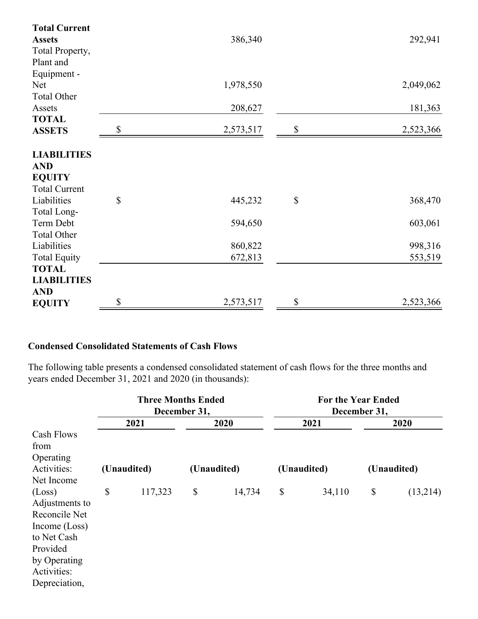| <b>Total Current</b> |                 |              |           |
|----------------------|-----------------|--------------|-----------|
| <b>Assets</b>        | 386,340         |              | 292,941   |
| Total Property,      |                 |              |           |
| Plant and            |                 |              |           |
| Equipment -          |                 |              |           |
| <b>Net</b>           | 1,978,550       |              | 2,049,062 |
| <b>Total Other</b>   |                 |              |           |
| Assets               | 208,627         |              | 181,363   |
| <b>TOTAL</b>         |                 |              |           |
| <b>ASSETS</b>        | 2,573,517       |              | 2,523,366 |
|                      |                 |              |           |
| <b>LIABILITIES</b>   |                 |              |           |
| <b>AND</b>           |                 |              |           |
| <b>EQUITY</b>        |                 |              |           |
| <b>Total Current</b> |                 |              |           |
| Liabilities          | \$<br>445,232   | $\mathbb{S}$ | 368,470   |
| Total Long-          |                 |              |           |
| Term Debt            | 594,650         |              | 603,061   |
| <b>Total Other</b>   |                 |              |           |
| Liabilities          | 860,822         |              | 998,316   |
| <b>Total Equity</b>  | 672,813         |              | 553,519   |
| <b>TOTAL</b>         |                 |              |           |
| <b>LIABILITIES</b>   |                 |              |           |
| <b>AND</b>           |                 |              |           |
| <b>EQUITY</b>        | \$<br>2,573,517 | \$           | 2,523,366 |

### **Condensed Consolidated Statements of Cash Flows**

The following table presents a condensed consolidated statement of cash flows for the three months and years ended December 31, 2021 and 2020 (in thousands):

|                |             | <b>Three Months Ended</b> | December 31, |        | <b>For the Year Ended</b><br>December 31, |        |                           |          |
|----------------|-------------|---------------------------|--------------|--------|-------------------------------------------|--------|---------------------------|----------|
|                | 2021        |                           | 2020         |        | 2021                                      |        | 2020                      |          |
| Cash Flows     |             |                           |              |        |                                           |        |                           |          |
| from           |             |                           |              |        |                                           |        |                           |          |
| Operating      |             |                           |              |        |                                           |        |                           |          |
| Activities:    | (Unaudited) |                           | (Unaudited)  |        | (Unaudited)                               |        | (Unaudited)               |          |
| Net Income     |             |                           |              |        |                                           |        |                           |          |
| (Loss)         | \$          | 117,323                   | \$           | 14,734 | \$                                        | 34,110 | $\boldsymbol{\mathsf{S}}$ | (13,214) |
| Adjustments to |             |                           |              |        |                                           |        |                           |          |
| Reconcile Net  |             |                           |              |        |                                           |        |                           |          |
| Income (Loss)  |             |                           |              |        |                                           |        |                           |          |
| to Net Cash    |             |                           |              |        |                                           |        |                           |          |
| Provided       |             |                           |              |        |                                           |        |                           |          |
| by Operating   |             |                           |              |        |                                           |        |                           |          |
| Activities:    |             |                           |              |        |                                           |        |                           |          |
| Depreciation,  |             |                           |              |        |                                           |        |                           |          |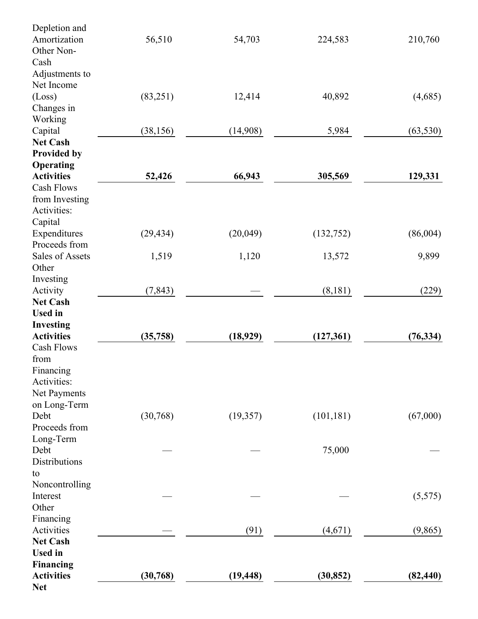| Depletion and                 |           |           |            |           |
|-------------------------------|-----------|-----------|------------|-----------|
| Amortization                  | 56,510    | 54,703    | 224,583    | 210,760   |
| Other Non-                    |           |           |            |           |
| Cash                          |           |           |            |           |
| Adjustments to                |           |           |            |           |
| Net Income                    |           |           |            |           |
| (Loss)                        | (83,251)  | 12,414    | 40,892     | (4,685)   |
| Changes in                    |           |           |            |           |
| Working                       |           |           |            |           |
| Capital                       | (38, 156) | (14,908)  | 5,984      | (63, 530) |
| <b>Net Cash</b>               |           |           |            |           |
| <b>Provided by</b>            |           |           |            |           |
| Operating                     |           |           |            |           |
| <b>Activities</b>             | 52,426    | 66,943    | 305,569    | 129,331   |
| <b>Cash Flows</b>             |           |           |            |           |
| from Investing                |           |           |            |           |
| Activities:                   |           |           |            |           |
| Capital                       |           |           |            |           |
|                               | (29, 434) | (20,049)  |            | (86,004)  |
| Expenditures<br>Proceeds from |           |           | (132, 752) |           |
|                               |           |           |            |           |
| Sales of Assets               | 1,519     | 1,120     | 13,572     | 9,899     |
| Other                         |           |           |            |           |
| Investing                     |           |           |            |           |
| Activity                      | (7, 843)  |           | (8,181)    | (229)     |
| <b>Net Cash</b>               |           |           |            |           |
| <b>Used</b> in                |           |           |            |           |
| <b>Investing</b>              |           |           |            |           |
| <b>Activities</b>             | (35,758)  | (18, 929) | (127, 361) | (76, 334) |
| Cash Flows                    |           |           |            |           |
| from                          |           |           |            |           |
| Financing                     |           |           |            |           |
| Activities:                   |           |           |            |           |
| Net Payments                  |           |           |            |           |
| on Long-Term                  |           |           |            |           |
| Debt                          | (30, 768) | (19, 357) | (101, 181) | (67,000)  |
| Proceeds from                 |           |           |            |           |
| Long-Term                     |           |           |            |           |
| Debt                          |           |           | 75,000     |           |
| <b>Distributions</b>          |           |           |            |           |
| to                            |           |           |            |           |
| Noncontrolling                |           |           |            |           |
| Interest                      |           |           |            | (5,575)   |
| Other                         |           |           |            |           |
| Financing                     |           |           |            |           |
| Activities                    |           | (91)      | (4,671)    | (9, 865)  |
| <b>Net Cash</b>               |           |           |            |           |
| <b>Used</b> in                |           |           |            |           |
| <b>Financing</b>              |           |           |            |           |
| <b>Activities</b>             | (30, 768) | (19, 448) | (30, 852)  | (82, 440) |
| <b>Net</b>                    |           |           |            |           |
|                               |           |           |            |           |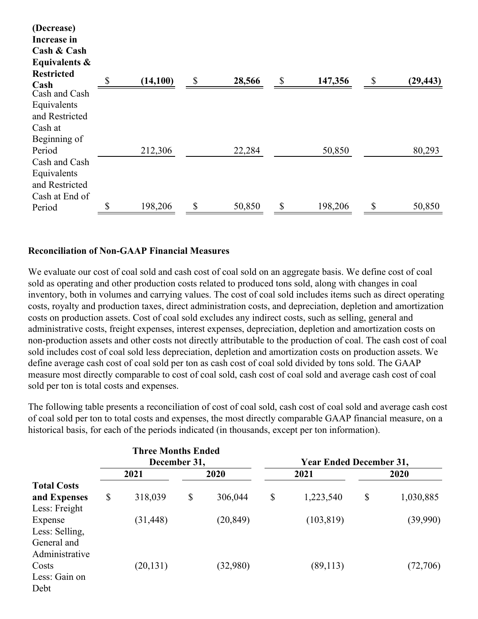| (Decrease)            |           |              |              |         |    |           |
|-----------------------|-----------|--------------|--------------|---------|----|-----------|
| Increase in           |           |              |              |         |    |           |
| Cash & Cash           |           |              |              |         |    |           |
| Equivalents $\&$      |           |              |              |         |    |           |
| <b>Restricted</b>     |           |              |              |         |    |           |
| Cash<br>Cash and Cash | (14, 100) | \$<br>28,566 | $\mathbb{S}$ | 147,356 | \$ | (29, 443) |
| Equivalents           |           |              |              |         |    |           |
| and Restricted        |           |              |              |         |    |           |
| Cash at               |           |              |              |         |    |           |
| Beginning of          |           |              |              |         |    |           |
| Period                | 212,306   | 22,284       |              | 50,850  |    | 80,293    |
| Cash and Cash         |           |              |              |         |    |           |
| Equivalents           |           |              |              |         |    |           |
| and Restricted        |           |              |              |         |    |           |
| Cash at End of        |           |              |              |         |    |           |
| Period                | 198,206   | \$<br>50,850 |              | 198,206 | S  | 50,850    |

#### **Reconciliation of Non-GAAP Financial Measures**

We evaluate our cost of coal sold and cash cost of coal sold on an aggregate basis. We define cost of coal sold as operating and other production costs related to produced tons sold, along with changes in coal inventory, both in volumes and carrying values. The cost of coal sold includes items such as direct operating costs, royalty and production taxes, direct administration costs, and depreciation, depletion and amortization costs on production assets. Cost of coal sold excludes any indirect costs, such as selling, general and administrative costs, freight expenses, interest expenses, depreciation, depletion and amortization costs on non-production assets and other costs not directly attributable to the production of coal. The cash cost of coal sold includes cost of coal sold less depreciation, depletion and amortization costs on production assets. We define average cash cost of coal sold per ton as cash cost of coal sold divided by tons sold. The GAAP measure most directly comparable to cost of coal sold, cash cost of coal sold and average cash cost of coal sold per ton is total costs and expenses.

The following table presents a reconciliation of cost of coal sold, cash cost of coal sold and average cash cost of coal sold per ton to total costs and expenses, the most directly comparable GAAP financial measure, on a historical basis, for each of the periods indicated (in thousands, except per ton information).

|                    |      | <b>Three Months Ended</b><br>December 31, |      |           | <b>Year Ended December 31,</b> |            |      |           |  |
|--------------------|------|-------------------------------------------|------|-----------|--------------------------------|------------|------|-----------|--|
|                    | 2021 |                                           | 2020 |           |                                | 2021       | 2020 |           |  |
| <b>Total Costs</b> |      |                                           |      |           |                                |            |      |           |  |
| and Expenses       | \$   | 318,039                                   | \$   | 306,044   | $\boldsymbol{\mathsf{S}}$      | 1,223,540  | \$   | 1,030,885 |  |
| Less: Freight      |      |                                           |      |           |                                |            |      |           |  |
| Expense            |      | (31, 448)                                 |      | (20, 849) |                                | (103, 819) |      | (39,990)  |  |
| Less: Selling,     |      |                                           |      |           |                                |            |      |           |  |
| General and        |      |                                           |      |           |                                |            |      |           |  |
| Administrative     |      |                                           |      |           |                                |            |      |           |  |
| Costs              |      | (20, 131)                                 |      | (32,980)  |                                | (89, 113)  |      | (72,706)  |  |
| Less: Gain on      |      |                                           |      |           |                                |            |      |           |  |
| Debt               |      |                                           |      |           |                                |            |      |           |  |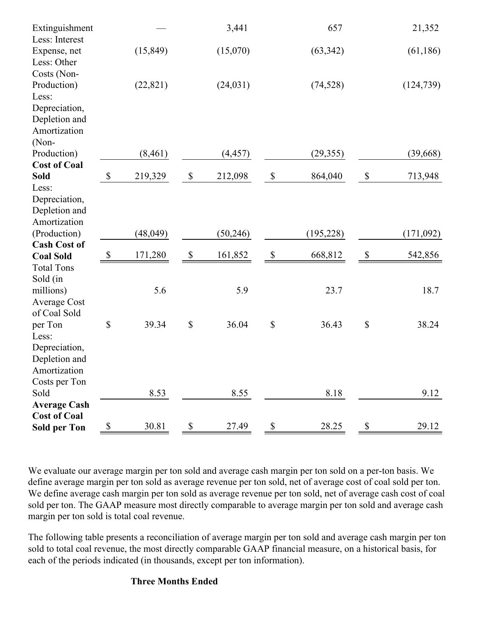| Extinguishment<br>Less: Interest               |                           |           |                           | 3,441     |                           | 657        |                           | 21,352     |
|------------------------------------------------|---------------------------|-----------|---------------------------|-----------|---------------------------|------------|---------------------------|------------|
| Expense, net<br>Less: Other                    |                           | (15, 849) |                           | (15,070)  |                           | (63, 342)  |                           | (61, 186)  |
| Costs (Non-<br>Production)<br>Less:            |                           | (22, 821) |                           | (24, 031) |                           | (74, 528)  |                           | (124, 739) |
| Depreciation,<br>Depletion and<br>Amortization |                           |           |                           |           |                           |            |                           |            |
| (Non-                                          |                           |           |                           |           |                           |            |                           |            |
| Production)                                    |                           | (8, 461)  |                           | (4, 457)  |                           | (29, 355)  |                           | (39, 668)  |
| <b>Cost of Coal</b>                            |                           |           |                           |           |                           |            |                           |            |
| <b>Sold</b>                                    | $\mathbb S$               | 219,329   | $\$\,$                    | 212,098   | $\boldsymbol{\mathsf{S}}$ | 864,040    | $\boldsymbol{\mathsf{S}}$ | 713,948    |
| Less:                                          |                           |           |                           |           |                           |            |                           |            |
| Depreciation,                                  |                           |           |                           |           |                           |            |                           |            |
| Depletion and                                  |                           |           |                           |           |                           |            |                           |            |
| Amortization                                   |                           |           |                           |           |                           |            |                           |            |
| (Production)                                   |                           | (48, 049) |                           | (50, 246) |                           | (195, 228) |                           | (171,092)  |
| <b>Cash Cost of</b><br><b>Coal Sold</b>        | $\boldsymbol{\mathsf{S}}$ | 171,280   | $\boldsymbol{\mathsf{S}}$ | 161,852   | $\boldsymbol{\mathsf{S}}$ | 668,812    | $\boldsymbol{\mathsf{S}}$ | 542,856    |
| <b>Total Tons</b>                              |                           |           |                           |           |                           |            |                           |            |
|                                                |                           |           |                           |           |                           |            |                           |            |
| Sold (in<br>millions)                          |                           | 5.6       |                           | 5.9       |                           | 23.7       |                           | 18.7       |
| <b>Average Cost</b>                            |                           |           |                           |           |                           |            |                           |            |
| of Coal Sold                                   |                           |           |                           |           |                           |            |                           |            |
| per Ton                                        | \$                        | 39.34     | \$                        | 36.04     | $\mathbb{S}$              | 36.43      | $\$$                      | 38.24      |
| Less:                                          |                           |           |                           |           |                           |            |                           |            |
| Depreciation,                                  |                           |           |                           |           |                           |            |                           |            |
| Depletion and                                  |                           |           |                           |           |                           |            |                           |            |
| Amortization                                   |                           |           |                           |           |                           |            |                           |            |
| Costs per Ton                                  |                           |           |                           |           |                           |            |                           |            |
| Sold                                           |                           | 8.53      |                           | 8.55      |                           | 8.18       |                           | 9.12       |
| <b>Average Cash</b>                            |                           |           |                           |           |                           |            |                           |            |
| <b>Cost of Coal</b>                            |                           |           |                           |           |                           |            |                           |            |
| <b>Sold per Ton</b>                            | $\boldsymbol{\mathsf{S}}$ | 30.81     | \$                        | 27.49     | $\mathbb{S}$              | 28.25      | $\mathbb S$               | 29.12      |

We evaluate our average margin per ton sold and average cash margin per ton sold on a per-ton basis. We define average margin per ton sold as average revenue per ton sold, net of average cost of coal sold per ton. We define average cash margin per ton sold as average revenue per ton sold, net of average cash cost of coal sold per ton. The GAAP measure most directly comparable to average margin per ton sold and average cash margin per ton sold is total coal revenue.

The following table presents a reconciliation of average margin per ton sold and average cash margin per ton sold to total coal revenue, the most directly comparable GAAP financial measure, on a historical basis, for each of the periods indicated (in thousands, except per ton information).

#### **Three Months Ended**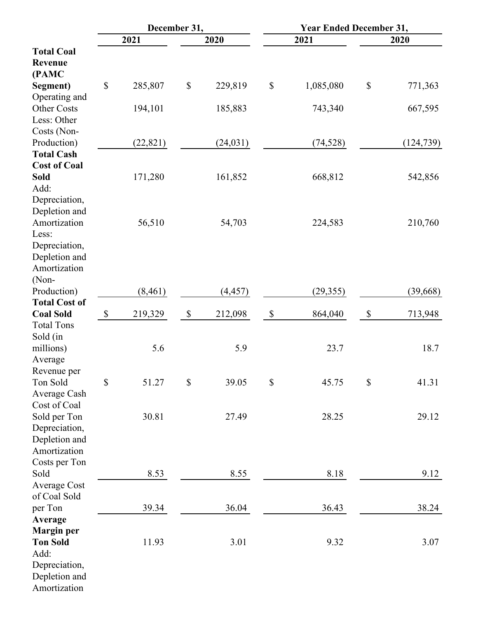|                                     |              | December 31, |                           |           | <b>Year Ended December 31,</b> |           |                           |            |  |  |
|-------------------------------------|--------------|--------------|---------------------------|-----------|--------------------------------|-----------|---------------------------|------------|--|--|
|                                     |              | 2021         |                           | 2020      |                                | 2021      |                           | 2020       |  |  |
| <b>Total Coal</b>                   |              |              |                           |           |                                |           |                           |            |  |  |
| <b>Revenue</b>                      |              |              |                           |           |                                |           |                           |            |  |  |
| (PAMC                               |              |              |                           |           |                                |           |                           |            |  |  |
| Segment)                            | $\mathbb{S}$ | 285,807      | $\boldsymbol{\mathsf{S}}$ | 229,819   | $\boldsymbol{\mathsf{S}}$      | 1,085,080 | $\mathbb S$               | 771,363    |  |  |
| Operating and                       |              |              |                           |           |                                |           |                           |            |  |  |
| Other Costs                         |              | 194,101      |                           | 185,883   |                                | 743,340   |                           | 667,595    |  |  |
| Less: Other                         |              |              |                           |           |                                |           |                           |            |  |  |
| Costs (Non-                         |              |              |                           |           |                                |           |                           |            |  |  |
| Production)                         |              | (22, 821)    |                           | (24, 031) |                                | (74, 528) |                           | (124, 739) |  |  |
| <b>Total Cash</b>                   |              |              |                           |           |                                |           |                           |            |  |  |
| <b>Cost of Coal</b>                 |              |              |                           |           |                                |           |                           |            |  |  |
| <b>Sold</b>                         |              | 171,280      |                           | 161,852   |                                | 668,812   |                           | 542,856    |  |  |
| Add:                                |              |              |                           |           |                                |           |                           |            |  |  |
| Depreciation,                       |              |              |                           |           |                                |           |                           |            |  |  |
| Depletion and                       |              |              |                           |           |                                |           |                           |            |  |  |
| Amortization                        |              | 56,510       |                           | 54,703    |                                | 224,583   |                           | 210,760    |  |  |
| Less:                               |              |              |                           |           |                                |           |                           |            |  |  |
| Depreciation,                       |              |              |                           |           |                                |           |                           |            |  |  |
| Depletion and                       |              |              |                           |           |                                |           |                           |            |  |  |
| Amortization                        |              |              |                           |           |                                |           |                           |            |  |  |
|                                     |              |              |                           |           |                                |           |                           |            |  |  |
| (Non-                               |              |              |                           |           |                                |           |                           |            |  |  |
| Production)<br><b>Total Cost of</b> |              | (8, 461)     |                           | (4, 457)  |                                | (29, 355) |                           | (39, 668)  |  |  |
|                                     |              |              |                           |           |                                |           |                           |            |  |  |
| <b>Coal Sold</b>                    | \$           | 219,329      | $\$\,$                    | 212,098   | $\boldsymbol{\mathsf{S}}$      | 864,040   | $\boldsymbol{\mathsf{S}}$ | 713,948    |  |  |
| <b>Total Tons</b>                   |              |              |                           |           |                                |           |                           |            |  |  |
| Sold (in                            |              |              |                           |           |                                |           |                           |            |  |  |
| millions)                           |              | 5.6          |                           | 5.9       |                                | 23.7      |                           | 18.7       |  |  |
| Average                             |              |              |                           |           |                                |           |                           |            |  |  |
| Revenue per                         |              |              |                           |           |                                |           |                           |            |  |  |
| Ton Sold                            | \$           | 51.27        | $\boldsymbol{\mathsf{S}}$ | 39.05     | $\mathbb{S}$                   | 45.75     | $\mathbb{S}$              | 41.31      |  |  |
| Average Cash                        |              |              |                           |           |                                |           |                           |            |  |  |
| Cost of Coal                        |              |              |                           |           |                                |           |                           |            |  |  |
| Sold per Ton                        |              | 30.81        |                           | 27.49     |                                | 28.25     |                           | 29.12      |  |  |
| Depreciation,                       |              |              |                           |           |                                |           |                           |            |  |  |
| Depletion and                       |              |              |                           |           |                                |           |                           |            |  |  |
| Amortization                        |              |              |                           |           |                                |           |                           |            |  |  |
| Costs per Ton                       |              |              |                           |           |                                |           |                           |            |  |  |
| Sold                                |              | 8.53         |                           | 8.55      |                                | 8.18      |                           | 9.12       |  |  |
| <b>Average Cost</b>                 |              |              |                           |           |                                |           |                           |            |  |  |
| of Coal Sold                        |              |              |                           |           |                                |           |                           |            |  |  |
| per Ton                             |              | 39.34        |                           | 36.04     |                                | 36.43     |                           | 38.24      |  |  |
| Average                             |              |              |                           |           |                                |           |                           |            |  |  |
| <b>Margin</b> per                   |              |              |                           |           |                                |           |                           |            |  |  |
| <b>Ton Sold</b>                     |              | 11.93        |                           | 3.01      |                                | 9.32      |                           | 3.07       |  |  |
| Add:                                |              |              |                           |           |                                |           |                           |            |  |  |
| Depreciation,                       |              |              |                           |           |                                |           |                           |            |  |  |
| Depletion and                       |              |              |                           |           |                                |           |                           |            |  |  |
| Amortization                        |              |              |                           |           |                                |           |                           |            |  |  |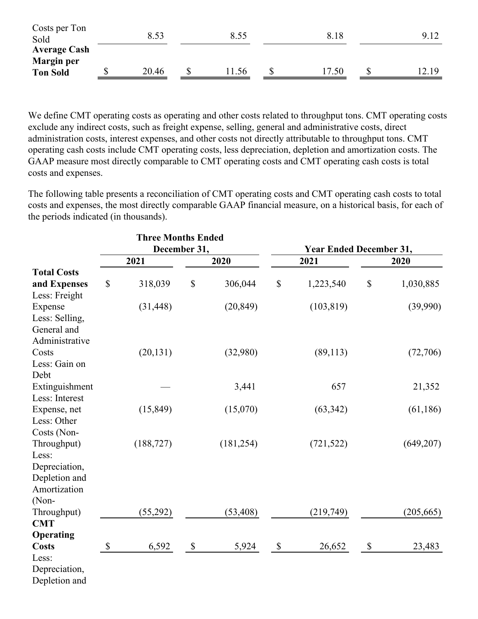| <b>Average Cash</b><br><b>Margin</b> per<br><b>Ton Sold</b> | 20.46 | JD | .56  | 7.50 | 2.19 |
|-------------------------------------------------------------|-------|----|------|------|------|
| Costs per Ton<br>Sold                                       | 8.53  |    | 8.55 | 8.18 |      |

We define CMT operating costs as operating and other costs related to throughput tons. CMT operating costs exclude any indirect costs, such as freight expense, selling, general and administrative costs, direct administration costs, interest expenses, and other costs not directly attributable to throughput tons. CMT operating cash costs include CMT operating costs, less depreciation, depletion and amortization costs. The GAAP measure most directly comparable to CMT operating costs and CMT operating cash costs is total costs and expenses.

The following table presents a reconciliation of CMT operating costs and CMT operating cash costs to total costs and expenses, the most directly comparable GAAP financial measure, on a historical basis, for each of the periods indicated (in thousands).

|                    |               | <b>Three Months Ended</b> |                           |            |                           |                                |    |            |  |  |
|--------------------|---------------|---------------------------|---------------------------|------------|---------------------------|--------------------------------|----|------------|--|--|
|                    |               | December 31,              |                           |            |                           | <b>Year Ended December 31,</b> |    |            |  |  |
|                    |               | 2021                      |                           | 2020       |                           | 2021                           |    | 2020       |  |  |
| <b>Total Costs</b> |               |                           |                           |            |                           |                                |    |            |  |  |
| and Expenses       | \$            | 318,039                   | \$                        | 306,044    | \$                        | 1,223,540                      | \$ | 1,030,885  |  |  |
| Less: Freight      |               |                           |                           |            |                           |                                |    |            |  |  |
| Expense            |               | (31, 448)                 |                           | (20, 849)  |                           | (103, 819)                     |    | (39,990)   |  |  |
| Less: Selling,     |               |                           |                           |            |                           |                                |    |            |  |  |
| General and        |               |                           |                           |            |                           |                                |    |            |  |  |
| Administrative     |               |                           |                           |            |                           |                                |    |            |  |  |
| Costs              |               | (20, 131)                 |                           | (32,980)   |                           | (89, 113)                      |    | (72,706)   |  |  |
| Less: Gain on      |               |                           |                           |            |                           |                                |    |            |  |  |
| Debt               |               |                           |                           |            |                           |                                |    |            |  |  |
| Extinguishment     |               |                           |                           | 3,441      |                           | 657                            |    | 21,352     |  |  |
| Less: Interest     |               |                           |                           |            |                           |                                |    |            |  |  |
| Expense, net       |               | (15, 849)                 |                           | (15,070)   |                           | (63, 342)                      |    | (61, 186)  |  |  |
| Less: Other        |               |                           |                           |            |                           |                                |    |            |  |  |
| Costs (Non-        |               |                           |                           |            |                           |                                |    |            |  |  |
| Throughput)        |               | (188, 727)                |                           | (181, 254) |                           | (721, 522)                     |    | (649, 207) |  |  |
| Less:              |               |                           |                           |            |                           |                                |    |            |  |  |
| Depreciation,      |               |                           |                           |            |                           |                                |    |            |  |  |
| Depletion and      |               |                           |                           |            |                           |                                |    |            |  |  |
| Amortization       |               |                           |                           |            |                           |                                |    |            |  |  |
| (Non-              |               |                           |                           |            |                           |                                |    |            |  |  |
| Throughput)        |               | (55,292)                  |                           | (53, 408)  |                           | (219,749)                      |    | (205, 665) |  |  |
| <b>CMT</b>         |               |                           |                           |            |                           |                                |    |            |  |  |
| Operating          |               |                           |                           |            |                           |                                |    |            |  |  |
| <b>Costs</b>       | $\mathcal{S}$ | 6,592                     | $\boldsymbol{\mathsf{S}}$ | 5,924      | $\boldsymbol{\mathsf{S}}$ | 26,652                         | \$ | 23,483     |  |  |
| Less:              |               |                           |                           |            |                           |                                |    |            |  |  |
| Depreciation,      |               |                           |                           |            |                           |                                |    |            |  |  |
| Depletion and      |               |                           |                           |            |                           |                                |    |            |  |  |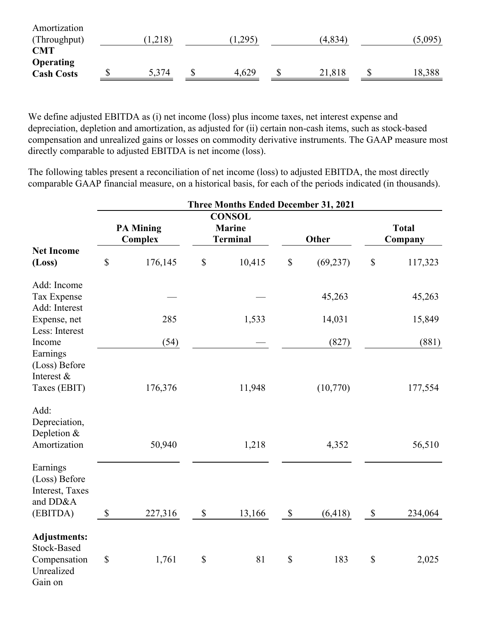| Amortization      |         |         |          |         |
|-------------------|---------|---------|----------|---------|
| (Throughput)      | (1,218) | (1,295) | (4, 834) | (5,095) |
| <b>CMT</b>        |         |         |          |         |
| <b>Operating</b>  |         |         |          |         |
| <b>Cash Costs</b> | 5,374   | 4,629   | 21,818   | 18,388  |
|                   |         |         |          |         |

We define adjusted EBITDA as (i) net income (loss) plus income taxes, net interest expense and depreciation, depletion and amortization, as adjusted for (ii) certain non-cash items, such as stock-based compensation and unrealized gains or losses on commodity derivative instruments. The GAAP measure most directly comparable to adjusted EBITDA is net income (loss).

The following tables present a reconciliation of net income (loss) to adjusted EBITDA, the most directly comparable GAAP financial measure, on a historical basis, for each of the periods indicated (in thousands).

|                                                                             |                                    |         |                           | Three Months Ended December 31, 2021              |                           |           |                           |                         |
|-----------------------------------------------------------------------------|------------------------------------|---------|---------------------------|---------------------------------------------------|---------------------------|-----------|---------------------------|-------------------------|
|                                                                             | <b>PA Mining</b><br><b>Complex</b> |         |                           | <b>CONSOL</b><br><b>Marine</b><br><b>Terminal</b> |                           | Other     |                           | <b>Total</b><br>Company |
| <b>Net Income</b><br>(Loss)                                                 | $\boldsymbol{\mathsf{S}}$          | 176,145 | $\boldsymbol{\mathsf{S}}$ | 10,415                                            | \$                        | (69, 237) | $\mathbb{S}$              | 117,323                 |
| Add: Income<br>Tax Expense                                                  |                                    |         |                           |                                                   |                           | 45,263    |                           | 45,263                  |
| Add: Interest<br>Expense, net<br>Less: Interest                             |                                    | 285     |                           | 1,533                                             |                           | 14,031    |                           | 15,849                  |
| Income                                                                      |                                    | (54)    |                           |                                                   |                           | (827)     |                           | (881)                   |
| Earnings<br>(Loss) Before<br>Interest &<br>Taxes (EBIT)                     |                                    | 176,376 |                           | 11,948                                            |                           | (10,770)  |                           | 177,554                 |
| Add:<br>Depreciation,<br>Depletion &<br>Amortization                        |                                    | 50,940  |                           | 1,218                                             |                           | 4,352     |                           | 56,510                  |
| Earnings<br>(Loss) Before<br>Interest, Taxes<br>and DD&A<br>(EBITDA)        | $\boldsymbol{\mathsf{S}}$          | 227,316 | $\boldsymbol{\mathsf{S}}$ | 13,166                                            | $\boldsymbol{\mathsf{S}}$ | (6, 418)  | $\boldsymbol{\mathsf{S}}$ | 234,064                 |
| <b>Adjustments:</b><br>Stock-Based<br>Compensation<br>Unrealized<br>Gain on | $\$$                               | 1,761   | $\$$                      | 81                                                | \$                        | 183       | $\$$                      | 2,025                   |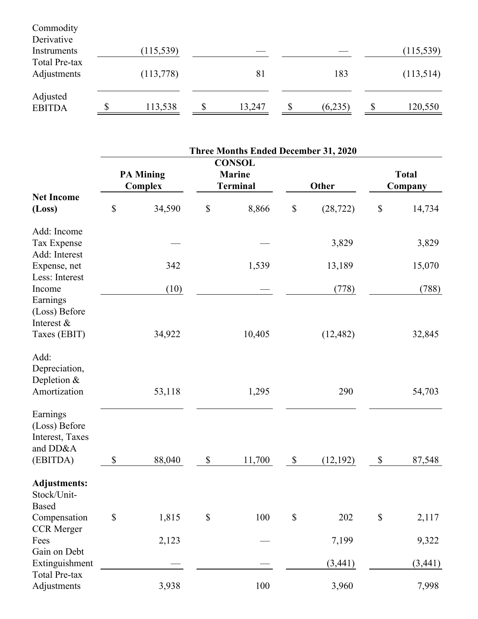| Commodity<br>Derivative      |            |   |        |         |               |
|------------------------------|------------|---|--------|---------|---------------|
| Instruments                  | (115, 539) |   |        |         | (115, 539)    |
| Total Pre-tax<br>Adjustments | (113,778)  |   | 81     | 183     | (113,514)     |
| Adjusted<br><b>EBITDA</b>    | 113,538    | S | 13,247 | (6,235) | \$<br>120,550 |

|                                                                      |                                    |        |                           | <b>Three Months Ended December 31, 2020</b>       |                           |           |      |                         |
|----------------------------------------------------------------------|------------------------------------|--------|---------------------------|---------------------------------------------------|---------------------------|-----------|------|-------------------------|
|                                                                      | <b>PA Mining</b><br><b>Complex</b> |        |                           | <b>CONSOL</b><br><b>Marine</b><br><b>Terminal</b> | Other                     |           |      | <b>Total</b><br>Company |
| <b>Net Income</b><br>(Loss)                                          | $\boldsymbol{\mathsf{S}}$          | 34,590 | $\$$                      | 8,866                                             | $\mathbb{S}$              | (28, 722) | $\$$ | 14,734                  |
| Add: Income<br>Tax Expense<br>Add: Interest                          |                                    |        |                           |                                                   |                           | 3,829     |      | 3,829                   |
| Expense, net                                                         |                                    | 342    |                           | 1,539                                             |                           | 13,189    |      | 15,070                  |
| Less: Interest<br>Income<br>Earnings                                 |                                    | (10)   |                           |                                                   |                           | (778)     |      | (788)                   |
| (Loss) Before<br>Interest &<br>Taxes (EBIT)                          |                                    | 34,922 |                           | 10,405                                            |                           | (12, 482) |      | 32,845                  |
| Add:<br>Depreciation,<br>Depletion $&$<br>Amortization               |                                    | 53,118 |                           | 1,295                                             |                           | 290       |      | 54,703                  |
| Earnings<br>(Loss) Before<br>Interest, Taxes<br>and DD&A<br>(EBITDA) | \$                                 | 88,040 | $\boldsymbol{\mathsf{S}}$ | 11,700                                            | $\$$                      | (12, 192) | \$   | 87,548                  |
| <b>Adjustments:</b><br>Stock/Unit-<br><b>Based</b>                   |                                    |        |                           |                                                   |                           |           |      |                         |
| Compensation                                                         | $\boldsymbol{\mathsf{S}}$          | 1,815  | \$                        | 100                                               | $\boldsymbol{\mathsf{S}}$ | 202       | $\$$ | 2,117                   |
| <b>CCR</b> Merger<br>Fees<br>Gain on Debt                            |                                    | 2,123  |                           |                                                   |                           | 7,199     |      | 9,322                   |
| Extinguishment                                                       |                                    |        |                           |                                                   |                           | (3, 441)  |      | (3,441)                 |
| <b>Total Pre-tax</b><br>Adjustments                                  |                                    | 3,938  |                           | 100                                               |                           | 3,960     |      | 7,998                   |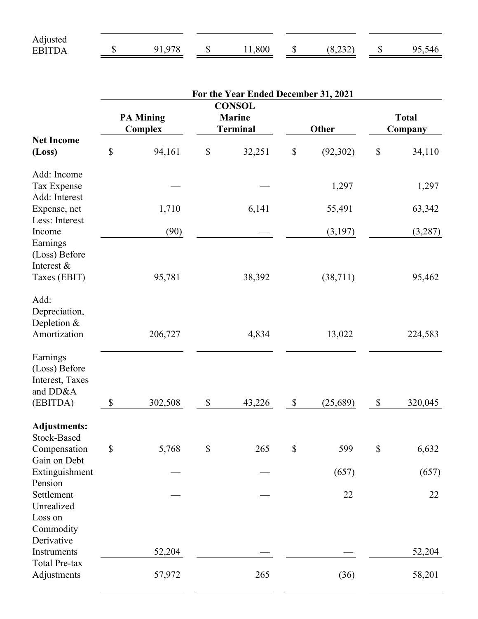| Adjusted                     |           |      |                   |                                         |     |
|------------------------------|-----------|------|-------------------|-----------------------------------------|-----|
| <b>FRITP</b><br>$\mathbf{A}$ | 078<br>Q1 | -800 | $\triangle$<br>۰D | $\mathbf{a}\mathbf{a}$<br>0.2 <i>JL</i> | 146 |

|                                                                      | For the Year Ended December 31, 2021 |         |                           |                                                   |              |           |                           |         |  |  |
|----------------------------------------------------------------------|--------------------------------------|---------|---------------------------|---------------------------------------------------|--------------|-----------|---------------------------|---------|--|--|
|                                                                      | <b>PA Mining</b><br><b>Complex</b>   |         |                           | <b>CONSOL</b><br><b>Marine</b><br><b>Terminal</b> | Other        |           | <b>Total</b><br>Company   |         |  |  |
| <b>Net Income</b><br>(Loss)                                          | \$                                   | 94,161  | $\mathbb S$               | 32,251                                            | $\$$         | (92, 302) | $\$$                      | 34,110  |  |  |
| Add: Income<br>Tax Expense<br>Add: Interest                          |                                      |         |                           |                                                   |              | 1,297     |                           | 1,297   |  |  |
| Expense, net                                                         |                                      | 1,710   |                           | 6,141                                             |              | 55,491    |                           | 63,342  |  |  |
| Less: Interest<br>Income<br>Earnings                                 |                                      | (90)    |                           |                                                   |              | (3,197)   |                           | (3,287) |  |  |
| (Loss) Before<br>Interest &<br>Taxes (EBIT)                          |                                      | 95,781  |                           | 38,392                                            |              | (38, 711) |                           | 95,462  |  |  |
| Add:<br>Depreciation,<br>Depletion &<br>Amortization                 |                                      | 206,727 |                           | 4,834                                             |              | 13,022    |                           | 224,583 |  |  |
| Earnings<br>(Loss) Before<br>Interest, Taxes<br>and DD&A<br>(EBITDA) | $\mathbb{S}$                         | 302,508 | $\boldsymbol{\mathsf{S}}$ |                                                   | $\$$         |           | $\$$                      | 320,045 |  |  |
|                                                                      |                                      |         |                           | 43,226                                            |              | (25,689)  |                           |         |  |  |
| <b>Adjustments:</b><br>Stock-Based<br>Compensation<br>Gain on Debt   | \$                                   | 5,768   | \$                        | 265                                               | $\mathbb{S}$ | 599       | $\boldsymbol{\mathsf{S}}$ | 6,632   |  |  |
| Extinguishment                                                       |                                      |         |                           |                                                   |              | (657)     |                           | (657)   |  |  |
| Pension<br>Settlement<br>Unrealized<br>Loss on<br>Commodity          |                                      |         |                           |                                                   |              | 22        |                           | 22      |  |  |
| Derivative<br>Instruments                                            |                                      | 52,204  |                           |                                                   |              |           |                           | 52,204  |  |  |
| <b>Total Pre-tax</b><br>Adjustments                                  |                                      | 57,972  |                           | 265                                               |              | (36)      |                           | 58,201  |  |  |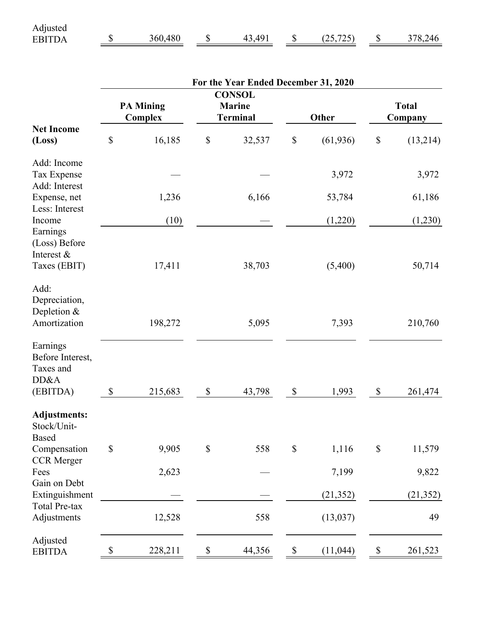| Adjusted                          |         |              |                         |         |
|-----------------------------------|---------|--------------|-------------------------|---------|
| <b>ERITD</b><br>$\mathbf{\Delta}$ | 360,480 | $\Lambda$ 01 | 725<br>ب ک<br>، → → ، ، | 378,246 |

| <b>Total</b><br>Company<br>(13,214)<br>3,972<br>61,186 |
|--------------------------------------------------------|
|                                                        |
|                                                        |
|                                                        |
|                                                        |
| (1,230)                                                |
| 50,714                                                 |
| 210,760                                                |
| 261,474                                                |
|                                                        |
| 11,579                                                 |
| 9,822                                                  |
| (21, 352)                                              |
| 49                                                     |
| 261,523                                                |
|                                                        |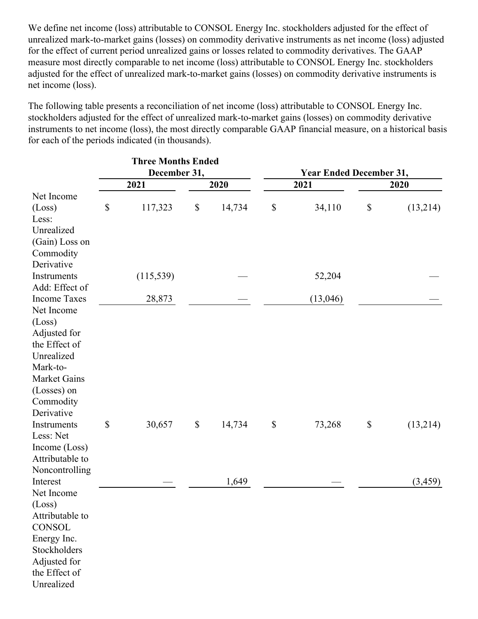We define net income (loss) attributable to CONSOL Energy Inc. stockholders adjusted for the effect of unrealized mark-to-market gains (losses) on commodity derivative instruments as net income (loss) adjusted for the effect of current period unrealized gains or losses related to commodity derivatives. The GAAP measure most directly comparable to net income (loss) attributable to CONSOL Energy Inc. stockholders adjusted for the effect of unrealized mark-to-market gains (losses) on commodity derivative instruments is net income (loss).

The following table presents a reconciliation of net income (loss) attributable to CONSOL Energy Inc. stockholders adjusted for the effect of unrealized mark-to-market gains (losses) on commodity derivative instruments to net income (loss), the most directly comparable GAAP financial measure, on a historical basis for each of the periods indicated (in thousands).

|                               |      | <b>Three Months Ended</b> |             |        |      |                                |              |          |  |  |  |
|-------------------------------|------|---------------------------|-------------|--------|------|--------------------------------|--------------|----------|--|--|--|
|                               |      | December 31,              |             |        |      | <b>Year Ended December 31,</b> |              |          |  |  |  |
|                               |      | 2021                      |             | 2020   |      | 2021                           |              | 2020     |  |  |  |
| Net Income                    |      |                           |             |        |      |                                |              |          |  |  |  |
| (Loss)                        | $\$$ | 117,323                   | $\$$        | 14,734 | \$   | 34,110                         | $\$$         | (13,214) |  |  |  |
| Less:                         |      |                           |             |        |      |                                |              |          |  |  |  |
| Unrealized                    |      |                           |             |        |      |                                |              |          |  |  |  |
| (Gain) Loss on                |      |                           |             |        |      |                                |              |          |  |  |  |
| Commodity                     |      |                           |             |        |      |                                |              |          |  |  |  |
| Derivative                    |      |                           |             |        |      |                                |              |          |  |  |  |
| Instruments<br>Add: Effect of |      | (115, 539)                |             |        |      | 52,204                         |              |          |  |  |  |
| <b>Income Taxes</b>           |      |                           |             |        |      |                                |              |          |  |  |  |
| Net Income                    |      | 28,873                    |             |        |      | (13,046)                       |              |          |  |  |  |
| (Loss)                        |      |                           |             |        |      |                                |              |          |  |  |  |
| Adjusted for                  |      |                           |             |        |      |                                |              |          |  |  |  |
| the Effect of                 |      |                           |             |        |      |                                |              |          |  |  |  |
| Unrealized                    |      |                           |             |        |      |                                |              |          |  |  |  |
| Mark-to-                      |      |                           |             |        |      |                                |              |          |  |  |  |
| <b>Market Gains</b>           |      |                           |             |        |      |                                |              |          |  |  |  |
| (Losses) on                   |      |                           |             |        |      |                                |              |          |  |  |  |
| Commodity                     |      |                           |             |        |      |                                |              |          |  |  |  |
| Derivative                    |      |                           |             |        |      |                                |              |          |  |  |  |
| Instruments                   | $\$$ | 30,657                    | $\mathbb S$ | 14,734 | $\$$ | 73,268                         | $\mathbb{S}$ | (13,214) |  |  |  |
| Less: Net                     |      |                           |             |        |      |                                |              |          |  |  |  |
| Income (Loss)                 |      |                           |             |        |      |                                |              |          |  |  |  |
| Attributable to               |      |                           |             |        |      |                                |              |          |  |  |  |
| Noncontrolling                |      |                           |             |        |      |                                |              |          |  |  |  |
| Interest                      |      |                           |             | 1,649  |      |                                |              | (3, 459) |  |  |  |
| Net Income                    |      |                           |             |        |      |                                |              |          |  |  |  |
| (Loss)                        |      |                           |             |        |      |                                |              |          |  |  |  |
| Attributable to               |      |                           |             |        |      |                                |              |          |  |  |  |
| <b>CONSOL</b>                 |      |                           |             |        |      |                                |              |          |  |  |  |
| Energy Inc.                   |      |                           |             |        |      |                                |              |          |  |  |  |
| Stockholders                  |      |                           |             |        |      |                                |              |          |  |  |  |
| Adjusted for<br>the Effect of |      |                           |             |        |      |                                |              |          |  |  |  |
| Unrealized                    |      |                           |             |        |      |                                |              |          |  |  |  |
|                               |      |                           |             |        |      |                                |              |          |  |  |  |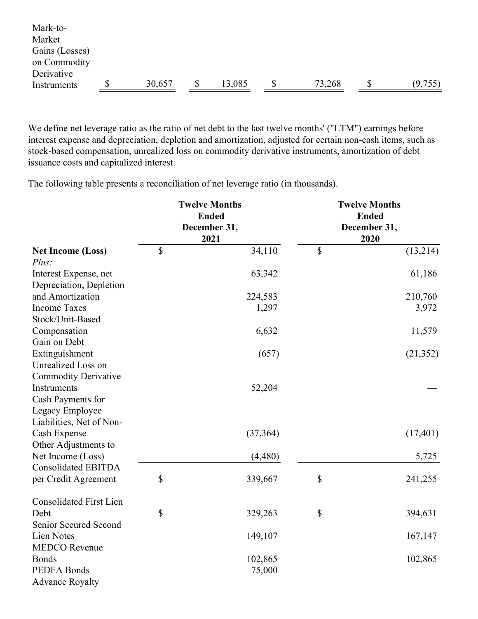| Mark-to-       |        |        |        |         |
|----------------|--------|--------|--------|---------|
| Market         |        |        |        |         |
| Gains (Losses) |        |        |        |         |
| on Commodity   |        |        |        |         |
| Derivative     |        |        |        |         |
| Instruments    | 30,657 | 13,085 | 73,268 | (9,755) |
|                |        |        |        |         |

We define net leverage ratio as the ratio of net debt to the last twelve months' ("LTM") earnings before interest expense and depreciation, depletion and amortization, adjusted for certain non-cash items, such as stock-based compensation, unrealized loss on commodity derivative instruments, amortization of debt issuance costs and capitalized interest.

The following table presents a reconciliation of net leverage ratio (in thousands).

|                                | <b>Twelve Months</b><br><b>Ended</b><br>December 31,<br>2021 | <b>Twelve Months</b><br><b>Ended</b><br>December 31,<br>2020 |           |  |
|--------------------------------|--------------------------------------------------------------|--------------------------------------------------------------|-----------|--|
| <b>Net Income (Loss)</b>       | \$<br>34,110                                                 | $\mathbb{S}$                                                 | (13,214)  |  |
| Plus:                          |                                                              |                                                              |           |  |
| Interest Expense, net          | 63,342                                                       |                                                              | 61,186    |  |
| Depreciation, Depletion        |                                                              |                                                              |           |  |
| and Amortization               | 224,583                                                      |                                                              | 210,760   |  |
| <b>Income Taxes</b>            | 1,297                                                        |                                                              | 3,972     |  |
| Stock/Unit-Based               |                                                              |                                                              |           |  |
| Compensation                   | 6,632                                                        |                                                              | 11,579    |  |
| Gain on Debt                   |                                                              |                                                              |           |  |
| Extinguishment                 | (657)                                                        |                                                              | (21, 352) |  |
| <b>Unrealized Loss on</b>      |                                                              |                                                              |           |  |
| <b>Commodity Derivative</b>    |                                                              |                                                              |           |  |
| Instruments                    | 52,204                                                       |                                                              |           |  |
| Cash Payments for              |                                                              |                                                              |           |  |
| Legacy Employee                |                                                              |                                                              |           |  |
| Liabilities, Net of Non-       |                                                              |                                                              |           |  |
| Cash Expense                   | (37, 364)                                                    |                                                              | (17, 401) |  |
| Other Adjustments to           |                                                              |                                                              |           |  |
| Net Income (Loss)              | (4,480)                                                      |                                                              | 5,725     |  |
| <b>Consolidated EBITDA</b>     |                                                              |                                                              |           |  |
| per Credit Agreement           | \$<br>339,667                                                | $\mathbb S$                                                  | 241,255   |  |
| <b>Consolidated First Lien</b> |                                                              |                                                              |           |  |
| Debt                           | \$<br>329,263                                                | \$                                                           | 394,631   |  |
| Senior Secured Second          |                                                              |                                                              |           |  |
| <b>Lien Notes</b>              | 149,107                                                      |                                                              | 167,147   |  |
| <b>MEDCO</b> Revenue           |                                                              |                                                              |           |  |
| <b>Bonds</b>                   | 102,865                                                      |                                                              | 102,865   |  |
| <b>PEDFA Bonds</b>             | 75,000                                                       |                                                              |           |  |
| <b>Advance Royalty</b>         |                                                              |                                                              |           |  |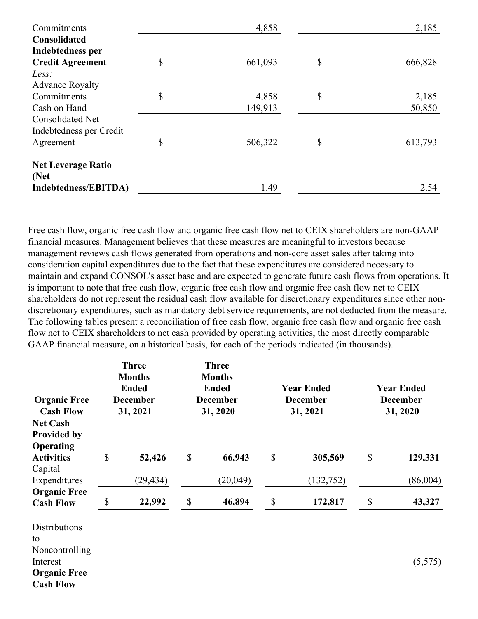| Commitments                       | 4,858         | 2,185 |         |  |
|-----------------------------------|---------------|-------|---------|--|
| Consolidated                      |               |       |         |  |
| <b>Indebtedness per</b>           |               |       |         |  |
| <b>Credit Agreement</b>           | \$<br>661,093 | \$    | 666,828 |  |
| Less:                             |               |       |         |  |
| <b>Advance Royalty</b>            |               |       |         |  |
| Commitments                       | \$<br>4,858   | \$    | 2,185   |  |
| Cash on Hand                      | 149,913       |       | 50,850  |  |
| <b>Consolidated Net</b>           |               |       |         |  |
| Indebtedness per Credit           |               |       |         |  |
| Agreement                         | \$<br>506,322 | \$    | 613,793 |  |
| <b>Net Leverage Ratio</b><br>(Net |               |       |         |  |
| Indebtedness/EBITDA)              | 1.49          |       | 2.54    |  |

Free cash flow, organic free cash flow and organic free cash flow net to CEIX shareholders are non-GAAP financial measures. Management believes that these measures are meaningful to investors because management reviews cash flows generated from operations and non-core asset sales after taking into consideration capital expenditures due to the fact that these expenditures are considered necessary to maintain and expand CONSOL's asset base and are expected to generate future cash flows from operations. It is important to note that free cash flow, organic free cash flow and organic free cash flow net to CEIX shareholders do not represent the residual cash flow available for discretionary expenditures since other nondiscretionary expenditures, such as mandatory debt service requirements, are not deducted from the measure. The following tables present a reconciliation of free cash flow, organic free cash flow and organic free cash flow net to CEIX shareholders to net cash provided by operating activities, the most directly comparable GAAP financial measure, on a historical basis, for each of the periods indicated (in thousands).

| <b>Organic Free</b><br><b>Cash Flow</b>                                                             | <b>Three</b><br><b>Months</b><br><b>Ended</b><br><b>December</b><br>31, 2021 |           | <b>Three</b><br><b>Months</b><br><b>Ended</b><br><b>December</b><br>31, 2020 |          | <b>Year Ended</b><br><b>December</b><br>31, 2021 |            | <b>Year Ended</b><br><b>December</b><br>31, 2020 |          |
|-----------------------------------------------------------------------------------------------------|------------------------------------------------------------------------------|-----------|------------------------------------------------------------------------------|----------|--------------------------------------------------|------------|--------------------------------------------------|----------|
| <b>Net Cash</b><br><b>Provided by</b><br>Operating<br><b>Activities</b>                             | \$                                                                           | 52,426    | \$                                                                           | 66,943   | \$                                               | 305,569    | \$                                               | 129,331  |
| Capital                                                                                             |                                                                              |           |                                                                              |          |                                                  |            |                                                  |          |
| Expenditures                                                                                        |                                                                              | (29, 434) |                                                                              | (20,049) |                                                  | (132, 752) |                                                  | (86,004) |
| <b>Organic Free</b><br><b>Cash Flow</b>                                                             |                                                                              | 22,992    | \$                                                                           | 46,894   | \$                                               | 172,817    | \$                                               | 43,327   |
| <b>Distributions</b><br>to<br>Noncontrolling<br>Interest<br><b>Organic Free</b><br><b>Cash Flow</b> |                                                                              |           |                                                                              |          |                                                  |            |                                                  | (5,575)  |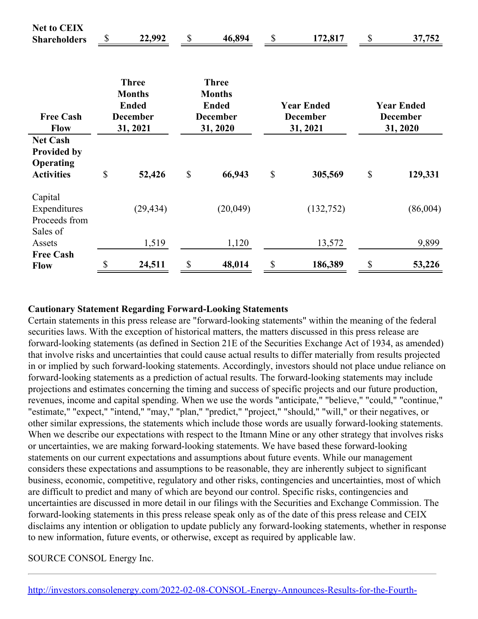| <b>Net to CEIX</b><br><b>Shareholders</b>                               | \$                                                                           | 22,992    | \$                                                                           | 46,894   | $\mathcal{S}$                                    | 172,817    | \$                                               | 37,752   |
|-------------------------------------------------------------------------|------------------------------------------------------------------------------|-----------|------------------------------------------------------------------------------|----------|--------------------------------------------------|------------|--------------------------------------------------|----------|
| <b>Free Cash</b><br><b>Flow</b>                                         | <b>Three</b><br><b>Months</b><br><b>Ended</b><br><b>December</b><br>31, 2021 |           | <b>Three</b><br><b>Months</b><br><b>Ended</b><br><b>December</b><br>31, 2020 |          | <b>Year Ended</b><br><b>December</b><br>31, 2021 |            | <b>Year Ended</b><br><b>December</b><br>31, 2020 |          |
| <b>Net Cash</b><br><b>Provided by</b><br>Operating<br><b>Activities</b> | \$                                                                           | 52,426    | $\mathbb{S}$                                                                 | 66,943   | $\mathbb{S}$                                     | 305,569    | $\boldsymbol{\mathsf{S}}$                        | 129,331  |
| Capital<br>Expenditures<br>Proceeds from<br>Sales of                    |                                                                              | (29, 434) |                                                                              | (20,049) |                                                  | (132, 752) |                                                  | (86,004) |
| Assets                                                                  |                                                                              | 1,519     |                                                                              | 1,120    |                                                  | 13,572     |                                                  | 9,899    |
| <b>Free Cash</b><br><b>Flow</b>                                         | \$                                                                           | 24,511    | $\boldsymbol{\mathsf{S}}$                                                    | 48,014   | \$                                               | 186,389    | $\mathcal{S}$                                    | 53,226   |

#### **Cautionary Statement Regarding Forward-Looking Statements**

Certain statements in this press release are "forward-looking statements" within the meaning of the federal securities laws. With the exception of historical matters, the matters discussed in this press release are forward-looking statements (as defined in Section 21E of the Securities Exchange Act of 1934, as amended) that involve risks and uncertainties that could cause actual results to differ materially from results projected in or implied by such forward-looking statements. Accordingly, investors should not place undue reliance on forward-looking statements as a prediction of actual results. The forward-looking statements may include projections and estimates concerning the timing and success of specific projects and our future production, revenues, income and capital spending. When we use the words "anticipate," "believe," "could," "continue," "estimate," "expect," "intend," "may," "plan," "predict," "project," "should," "will," or their negatives, or other similar expressions, the statements which include those words are usually forward-looking statements. When we describe our expectations with respect to the Itmann Mine or any other strategy that involves risks or uncertainties, we are making forward-looking statements. We have based these forward-looking statements on our current expectations and assumptions about future events. While our management considers these expectations and assumptions to be reasonable, they are inherently subject to significant business, economic, competitive, regulatory and other risks, contingencies and uncertainties, most of which are difficult to predict and many of which are beyond our control. Specific risks, contingencies and uncertainties are discussed in more detail in our filings with the Securities and Exchange Commission. The forward-looking statements in this press release speak only as of the date of this press release and CEIX disclaims any intention or obligation to update publicly any forward-looking statements, whether in response to new information, future events, or otherwise, except as required by applicable law.

SOURCE CONSOL Energy Inc.